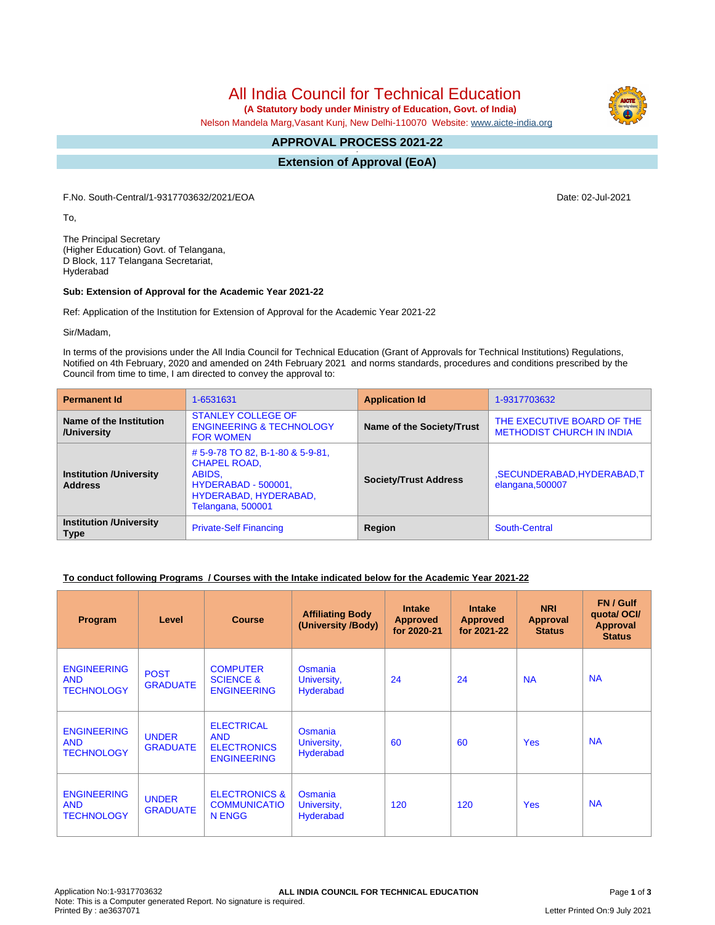All India Council for Technical Education

 **(A Statutory body under Ministry of Education, Govt. of India)**

Nelson Mandela Marg,Vasant Kunj, New Delhi-110070 Website: [www.aicte-india.org](http://www.aicte-india.org)

#### **APPROVAL PROCESS 2021-22 -**

**Extension of Approval (EoA)**

F.No. South-Central/1-9317703632/2021/EOA Date: 02-Jul-2021

To,

The Principal Secretary (Higher Education) Govt. of Telangana, D Block, 117 Telangana Secretariat, Hyderabad

### **Sub: Extension of Approval for the Academic Year 2021-22**

Ref: Application of the Institution for Extension of Approval for the Academic Year 2021-22

Sir/Madam,

In terms of the provisions under the All India Council for Technical Education (Grant of Approvals for Technical Institutions) Regulations, Notified on 4th February, 2020 and amended on 24th February 2021 and norms standards, procedures and conditions prescribed by the Council from time to time, I am directed to convey the approval to:

| <b>Permanent Id</b>                              | 1-6531631                                                                                                                             | <b>Application Id</b>        | 1-9317703632                                                   |
|--------------------------------------------------|---------------------------------------------------------------------------------------------------------------------------------------|------------------------------|----------------------------------------------------------------|
| Name of the Institution<br>/University           | <b>STANLEY COLLEGE OF</b><br><b>ENGINEERING &amp; TECHNOLOGY</b><br><b>FOR WOMEN</b>                                                  | Name of the Society/Trust    | THE EXECUTIVE BOARD OF THE<br><b>METHODIST CHURCH IN INDIA</b> |
| <b>Institution /University</b><br><b>Address</b> | #5-9-78 TO 82, B-1-80 & 5-9-81,<br><b>CHAPEL ROAD,</b><br>ABIDS,<br>HYDERABAD - 500001,<br>HYDERABAD, HYDERABAD,<br>Telangana, 500001 | <b>Society/Trust Address</b> | ,SECUNDERABAD,HYDERABAD,T<br>elangana, 500007                  |
| <b>Institution /University</b><br><b>Type</b>    | <b>Private-Self Financing</b>                                                                                                         | Region                       | South-Central                                                  |

### **To conduct following Programs / Courses with the Intake indicated below for the Academic Year 2021-22**

| Program                                               | Level                           | <b>Course</b>                                                               | <b>Affiliating Body</b><br>(University /Body) | <b>Intake</b><br><b>Approved</b><br>for 2020-21 | <b>Intake</b><br><b>Approved</b><br>for 2021-22 | <b>NRI</b><br>Approval<br><b>Status</b> | FN / Gulf<br>quotal OCI/<br><b>Approval</b><br><b>Status</b> |
|-------------------------------------------------------|---------------------------------|-----------------------------------------------------------------------------|-----------------------------------------------|-------------------------------------------------|-------------------------------------------------|-----------------------------------------|--------------------------------------------------------------|
| <b>ENGINEERING</b><br><b>AND</b><br><b>TECHNOLOGY</b> | <b>POST</b><br><b>GRADUATE</b>  | <b>COMPUTER</b><br><b>SCIENCE &amp;</b><br><b>ENGINEERING</b>               | Osmania<br>University,<br><b>Hyderabad</b>    | 24                                              | 24                                              | <b>NA</b>                               | <b>NA</b>                                                    |
| <b>ENGINEERING</b><br><b>AND</b><br><b>TECHNOLOGY</b> | <b>UNDER</b><br><b>GRADUATE</b> | <b>ELECTRICAL</b><br><b>AND</b><br><b>ELECTRONICS</b><br><b>ENGINEERING</b> | Osmania<br>University,<br><b>Hyderabad</b>    | 60                                              | 60                                              | <b>Yes</b>                              | <b>NA</b>                                                    |
| <b>ENGINEERING</b><br><b>AND</b><br><b>TECHNOLOGY</b> | <b>UNDER</b><br><b>GRADUATE</b> | <b>ELECTRONICS &amp;</b><br><b>COMMUNICATIO</b><br>N ENGG                   | Osmania<br>University,<br><b>Hyderabad</b>    | 120                                             | 120                                             | <b>Yes</b>                              | <b>NA</b>                                                    |

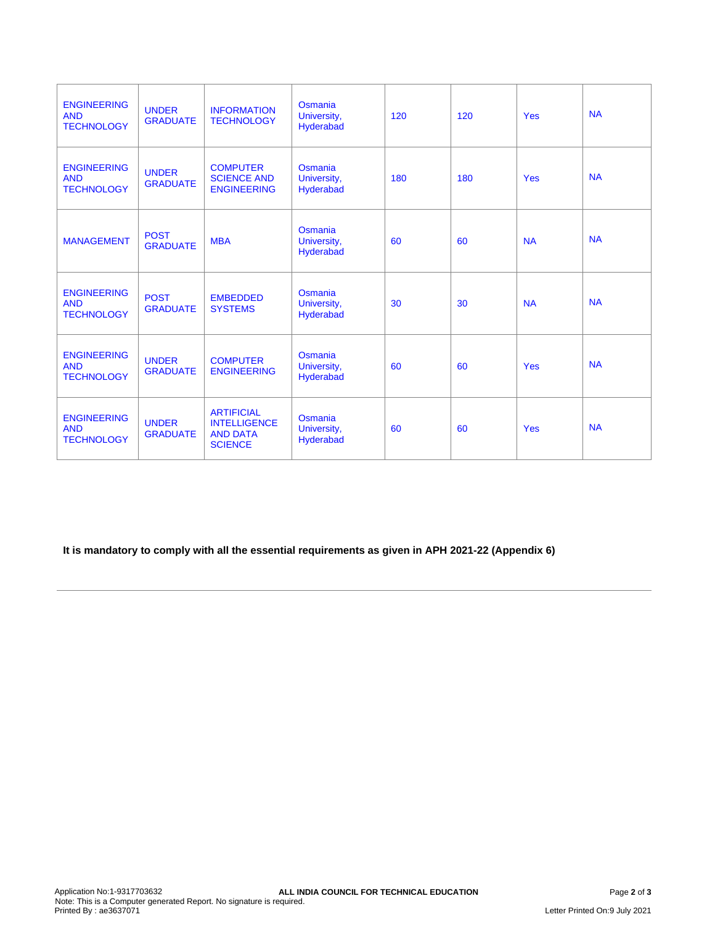| <b>ENGINEERING</b><br><b>AND</b><br><b>TECHNOLOGY</b> | <b>UNDER</b><br><b>GRADUATE</b> | <b>INFORMATION</b><br><b>TECHNOLOGY</b>                                       | Osmania<br>University,<br>Hyderabad | 120 | 120 | <b>Yes</b> | <b>NA</b> |
|-------------------------------------------------------|---------------------------------|-------------------------------------------------------------------------------|-------------------------------------|-----|-----|------------|-----------|
| <b>ENGINEERING</b><br><b>AND</b><br><b>TECHNOLOGY</b> | <b>UNDER</b><br><b>GRADUATE</b> | <b>COMPUTER</b><br><b>SCIENCE AND</b><br><b>ENGINEERING</b>                   | Osmania<br>University,<br>Hyderabad | 180 | 180 | <b>Yes</b> | <b>NA</b> |
| <b>MANAGEMENT</b>                                     | <b>POST</b><br><b>GRADUATE</b>  | <b>MBA</b>                                                                    | Osmania<br>University,<br>Hyderabad | 60  | 60  | <b>NA</b>  | <b>NA</b> |
| <b>ENGINEERING</b><br><b>AND</b><br><b>TECHNOLOGY</b> | <b>POST</b><br><b>GRADUATE</b>  | <b>EMBEDDED</b><br><b>SYSTEMS</b>                                             | Osmania<br>University,<br>Hyderabad | 30  | 30  | <b>NA</b>  | <b>NA</b> |
| <b>ENGINEERING</b><br><b>AND</b><br><b>TECHNOLOGY</b> | <b>UNDER</b><br><b>GRADUATE</b> | <b>COMPUTER</b><br><b>ENGINEERING</b>                                         | Osmania<br>University,<br>Hyderabad | 60  | 60  | <b>Yes</b> | <b>NA</b> |
| <b>ENGINEERING</b><br><b>AND</b><br><b>TECHNOLOGY</b> | <b>UNDER</b><br><b>GRADUATE</b> | <b>ARTIFICIAL</b><br><b>INTELLIGENCE</b><br><b>AND DATA</b><br><b>SCIENCE</b> | Osmania<br>University,<br>Hyderabad | 60  | 60  | <b>Yes</b> | <b>NA</b> |

**It is mandatory to comply with all the essential requirements as given in APH 2021-22 (Appendix 6)**